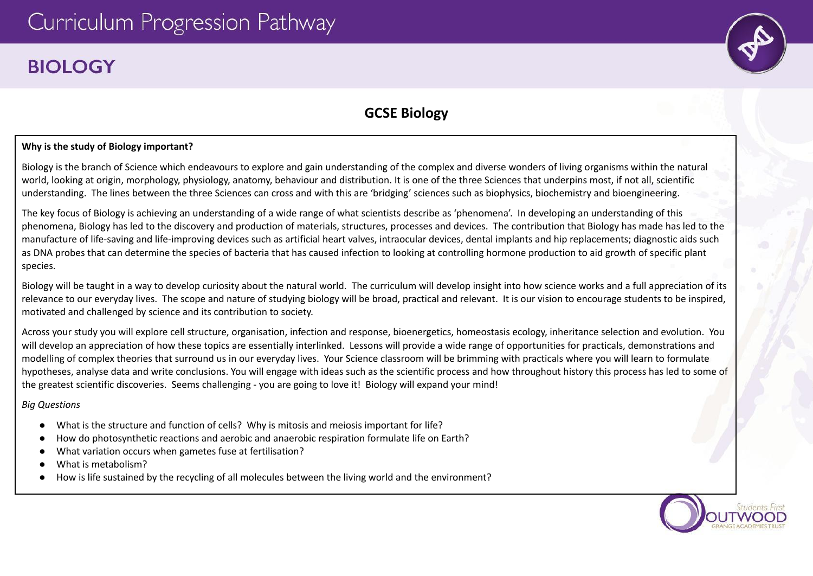# **BIOLOGY**



# **GCSE Biology**

# **Why is the study of Biology important?**

Biology is the branch of Science which endeavours to explore and gain understanding of the complex and diverse wonders of living organisms within the natural world, looking at origin, morphology, physiology, anatomy, behaviour and distribution. It is one of the three Sciences that underpins most, if not all, scientific understanding. The lines between the three Sciences can cross and with this are 'bridging' sciences such as biophysics, biochemistry and bioengineering.

The key focus of Biology is achieving an understanding of a wide range of what scientists describe as 'phenomena'. In developing an understanding of this phenomena, Biology has led to the discovery and production of materials, structures, processes and devices. The contribution that Biology has made has led to the manufacture of life-saving and life-improving devices such as artificial heart valves, intraocular devices, dental implants and hip replacements; diagnostic aids such as DNA probes that can determine the species of bacteria that has caused infection to looking at controlling hormone production to aid growth of specific plant species.

Biology will be taught in a way to develop curiosity about the natural world. The curriculum will develop insight into how science works and a full appreciation of its relevance to our everyday lives. The scope and nature of studying biology will be broad, practical and relevant. It is our vision to encourage students to be inspired, motivated and challenged by science and its contribution to society.

Across your study you will explore cell structure, organisation, infection and response, bioenergetics, homeostasis ecology, inheritance selection and evolution. You will develop an appreciation of how these topics are essentially interlinked. Lessons will provide a wide range of opportunities for practicals, demonstrations and modelling of complex theories that surround us in our everyday lives. Your Science classroom will be brimming with practicals where you will learn to formulate hypotheses, analyse data and write conclusions. You will engage with ideas such as the scientific process and how throughout history this process has led to some of the greatest scientific discoveries. Seems challenging - you are going to love it! Biology will expand your mind!

*Big Questions*

- What is the structure and function of cells? Why is mitosis and meiosis important for life?
- How do photosynthetic reactions and aerobic and anaerobic respiration formulate life on Earth?
- *●* What variation occurs when gametes fuse at fertilisation?
- What is metabolism?
- How is life sustained by the recycling of all molecules between the living world and the environment?

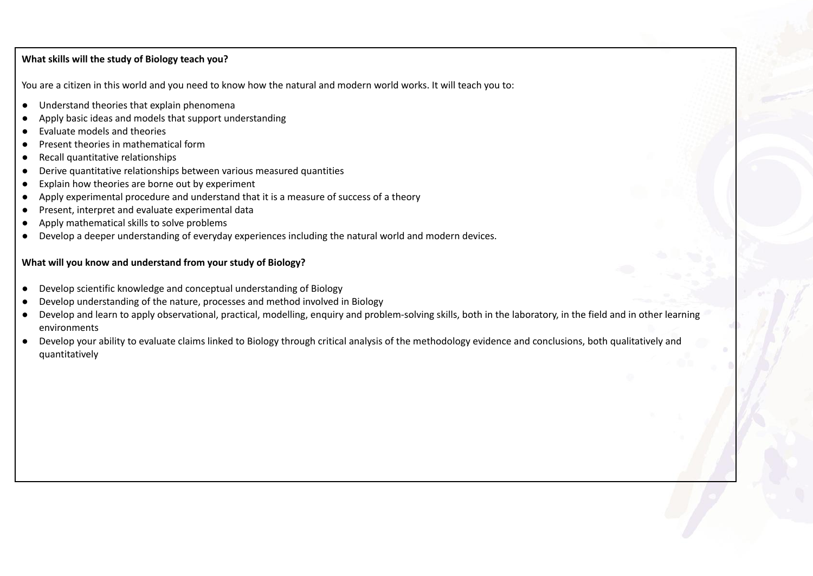# **What skills will the study of Biology teach you?**

You are a citizen in this world and you need to know how the natural and modern world works. It will teach you to:

- Understand theories that explain phenomena
- Apply basic ideas and models that support understanding
- Evaluate models and theories
- Present theories in mathematical form
- Recall quantitative relationships
- Derive quantitative relationships between various measured quantities
- Explain how theories are borne out by experiment
- Apply experimental procedure and understand that it is a measure of success of a theory
- Present, interpret and evaluate experimental data
- Apply mathematical skills to solve problems
- Develop a deeper understanding of everyday experiences including the natural world and modern devices.

# **What will you know and understand from your study of Biology?**

- Develop scientific knowledge and conceptual understanding of Biology
- Develop understanding of the nature, processes and method involved in Biology
- Develop and learn to apply observational, practical, modelling, enquiry and problem-solving skills, both in the laboratory, in the field and in other learning environments
- **●** Develop your ability to evaluate claims linked to Biology through critical analysis of the methodology evidence and conclusions, both qualitatively and quantitatively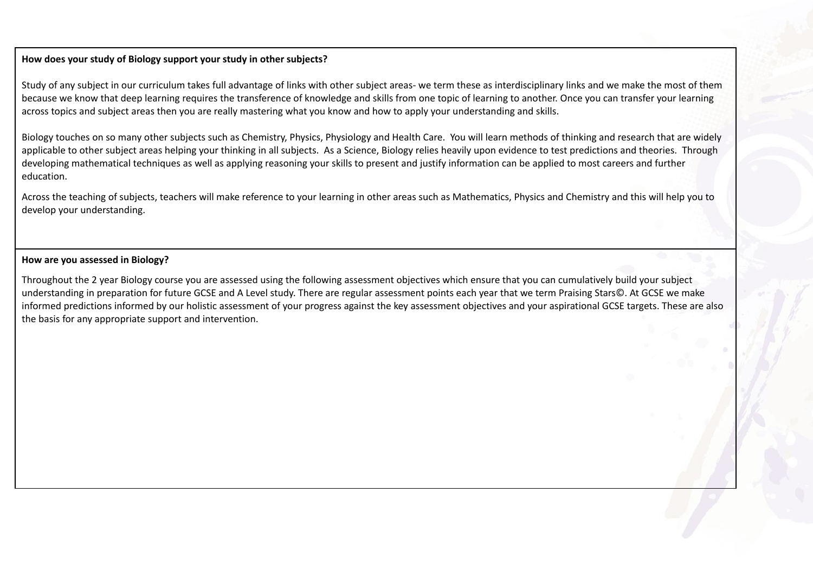### **How does your study of Biology support your study in other subjects?**

Study of any subject in our curriculum takes full advantage of links with other subject areas- we term these as interdisciplinary links and we make the most of them because we know that deep learning requires the transference of knowledge and skills from one topic of learning to another. Once you can transfer your learning across topics and subject areas then you are really mastering what you know and how to apply your understanding and skills.

Biology touches on so many other subjects such as Chemistry, Physics, Physiology and Health Care. You will learn methods of thinking and research that are widely applicable to other subject areas helping your thinking in all subjects. As a Science, Biology relies heavily upon evidence to test predictions and theories. Through developing mathematical techniques as well as applying reasoning your skills to present and justify information can be applied to most careers and further education.

Across the teaching of subjects, teachers will make reference to your learning in other areas such as Mathematics, Physics and Chemistry and this will help you to develop your understanding.

#### **How are you assessed in Biology?**

Throughout the 2 year Biology course you are assessed using the following assessment objectives which ensure that you can cumulatively build your subject understanding in preparation for future GCSE and A Level study. There are regular assessment points each year that we term Praising Stars©. At GCSE we make informed predictions informed by our holistic assessment of your progress against the key assessment objectives and your aspirational GCSE targets. These are also the basis for any appropriate support and intervention.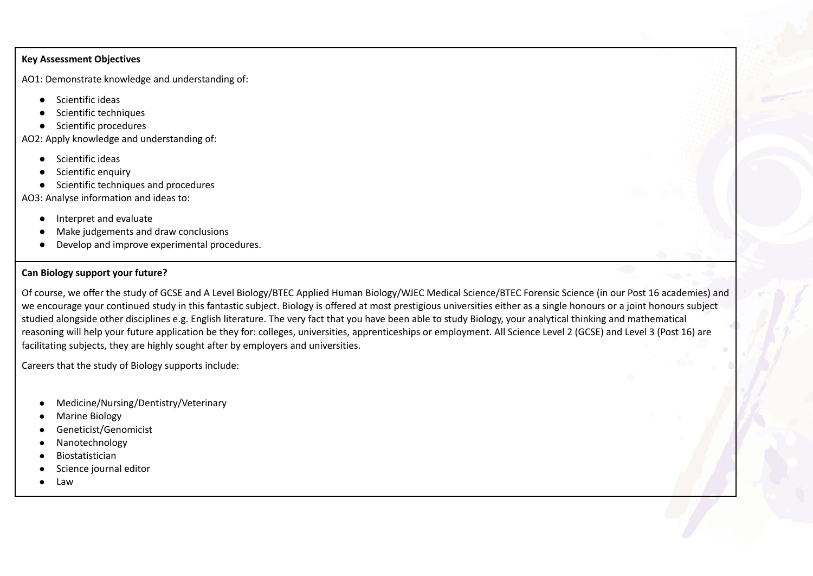#### **Key Assessment Objectives**

AO1: Demonstrate knowledge and understanding of:

- Scientific ideas
- Scientific techniques
- Scientific procedures

AO2: Apply knowledge and understanding of:

- Scientific ideas
- Scientific enquiry
- Scientific techniques and procedures

AO3: Analyse information and ideas to:

- Interpret and evaluate
- Make judgements and draw conclusions
- Develop and improve experimental procedures.

# **Can Biology support your future?**

Of course, we offer the study of GCSE and A Level Biology/BTEC Applied Human Biology/WJEC Medical Science/BTEC Forensic Science (in our Post 16 academies) and we encourage your continued study in this fantastic subject. Biology is offered at most prestigious universities either as a single honours or a joint honours subject studied alongside other disciplines e.g. English literature. The very fact that you have been able to study Biology, your analytical thinking and mathematical reasoning will help your future application be they for: colleges, universities, apprenticeships or employment. All Science Level 2 (GCSE) and Level 3 (Post 16) are facilitating subjects, they are highly sought after by employers and universities.

Careers that the study of Biology supports include:

- Medicine/Nursing/Dentistry/Veterinary
- **Marine Biology**
- Geneticist/Genomicist
- Nanotechnology
- **Biostatistician**
- Science journal editor
- Law